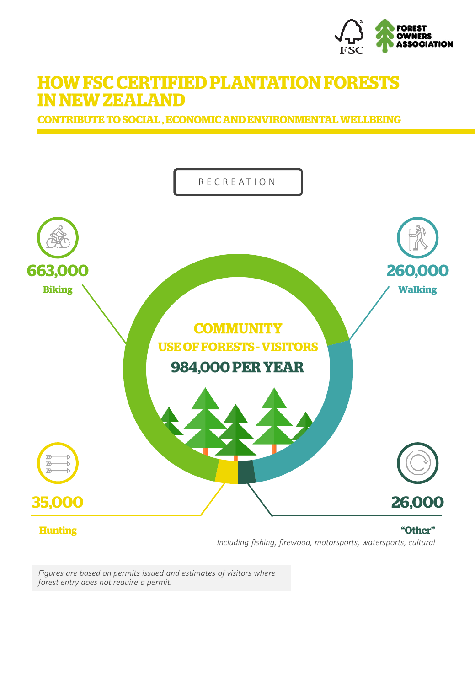

## **HOW FSC CERTIFIED PLANTATION FORESTS IN NEW ZEALAND**

**CONTRIBUTE TO SOCIAL, ECONOMIC AND ENVIRONMENTAL WELLBEING** 



*Figures are based on permits issued and estimates of visitors where forest entry does not require a permit.*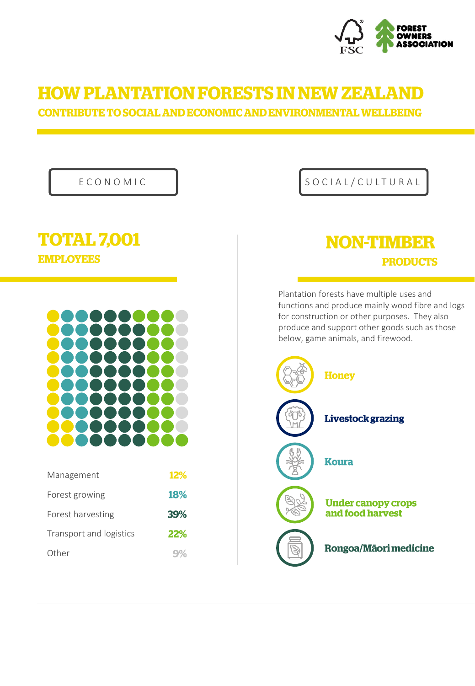

# **HOW PLANTATION FORESTS IN NEW ZEALAND**

**CONTRIBUTE TO SOCIAL AND ECONOMIC AND ENVIRONMENTAL WELLBEING** 

#### **TOTAL 7,001 EMPLOYEES**



| Management              | <b>12%</b>     |
|-------------------------|----------------|
| Forest growing          | <b>18%</b>     |
| Forest harvesting       | 39%            |
| Transport and logistics | 22%            |
| Other                   | $\mathbf{q}$ % |

#### E C O N O M I C  $\begin{array}{c|c}\n\end{array}$  S O C I A L / C U L T U R A L

## **NON-TIMBER PRODUCTS**

Plantation forests have multiple uses and functions and produce mainly wood fibre and logs for construction or other purposes. They also produce and support other goods such as those below, game animals, and firewood.

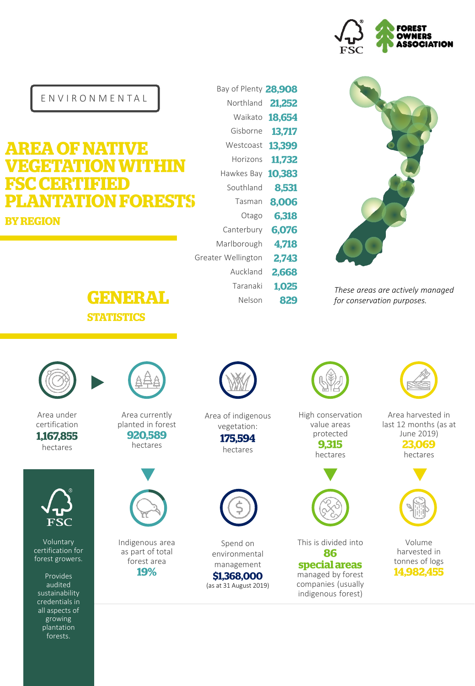

*These areas are actively managed for conservation purposes.*

E N V I R O N M E N T A L

## **AREA OF NATIVE EGETATION WITHIN** SC CERTIFIED **LANTATION FORESTS BY REGION**





Area under certification 1,167,855 hectares



Voluntary certification for forest growers.

Provides audited sustainability credentials in all aspects of growing plantation forests.



Area currently planted in forest 920,589 hectares



Indigenous area as part of total forest area 19%



Bay of Plenty 28,908 Northland 21,252 Waikato 18,654 Gisborne 13,717 Westcoast 13,399 Horizons 11,732 Hawkes Bay 10,383

Southland

Otago Canterbury Marlborough Greater Wellington

> Auckland Taranaki Nelson

Tasman 8.006

8.531

6,318

6,076 4,718 2.743 2,668 1,025

829

Area of indigenous vegetation: 175,594 hectares



Spend on environmental management \$1,368,000

(as at 31 August 2019)

High conservation value areas protected 9,315

hectares



This is divided into 86 special areas

managed by forest companies (usually indigenous forest)

Area harvested in last 12 months (as at June 2019) 23,069 hectares



Volume harvested in tonnes of logs 14.982,455